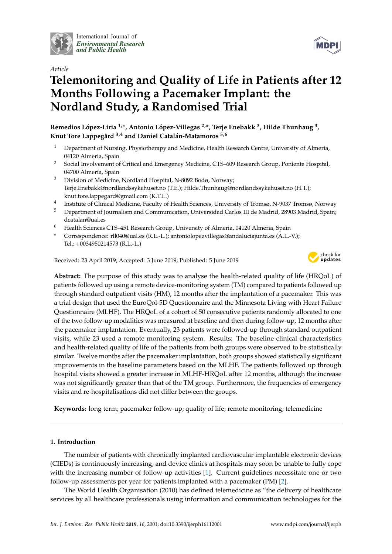

International Journal of *[Environmental Research](http://www.mdpi.com/journal/ijerph) and Public Health*



# **Telemonitoring and Quality of Life in Patients after 12 Months Following a Pacemaker Implant: the Nordland Study, a Randomised Trial**

**Remedios López-Liria 1,\*, Antonio López-Villegas 2,\*, Terje Enebakk <sup>3</sup> , Hilde Thunhaug <sup>3</sup> , Knut Tore Lappegård 3,4 and Daniel Catalán-Matamoros 5,6**

- <sup>1</sup> Department of Nursing, Physiotherapy and Medicine, Health Research Centre, University of Almeria, 04120 Almeria, Spain
- <sup>2</sup> Social Involvement of Critical and Emergency Medicine, CTS–609 Research Group, Poniente Hospital, 04700 Almería, Spain
- <sup>3</sup> Division of Medicine, Nordland Hospital, N-8092 Bodø, Norway; Terje.Enebakk@nordlandssykehuset.no (T.E.); Hilde.Thunhaug@nordlandssykehuset.no (H.T.); knut.tore.lappegard@gmail.com (K.T.L.)
- 4 Institute of Clinical Medicine, Faculty of Health Sciences, University of Tromsø, N-9037 Tromsø, Norway
- <sup>5</sup> Department of Journalism and Communication, Universidad Carlos III de Madrid, 28903 Madrid, Spain; dcatalan@ual.es
- <sup>6</sup> Health Sciences CTS–451 Research Group, University of Almeria, 04120 Almeria, Spain
- **\*** Correspondence: rll040@ual.es (R.L.-L.); antoniolopezvillegas@andaluciajunta.es (A.L.-V.); Tel.: +0034950214573 (R.L.-L.)

Received: 23 April 2019; Accepted: 3 June 2019; Published: 5 June 2019



**Abstract:** The purpose of this study was to analyse the health-related quality of life (HRQoL) of patients followed up using a remote device-monitoring system (TM) compared to patients followed up through standard outpatient visits (HM), 12 months after the implantation of a pacemaker. This was a trial design that used the EuroQol-5D Questionnaire and the Minnesota Living with Heart Failure Questionnaire (MLHF). The HRQoL of a cohort of 50 consecutive patients randomly allocated to one of the two follow-up modalities was measured at baseline and then during follow-up, 12 months after the pacemaker implantation. Eventually, 23 patients were followed-up through standard outpatient visits, while 23 used a remote monitoring system. Results: The baseline clinical characteristics and health-related quality of life of the patients from both groups were observed to be statistically similar. Twelve months after the pacemaker implantation, both groups showed statistically significant improvements in the baseline parameters based on the MLHF. The patients followed up through hospital visits showed a greater increase in MLHF-HRQoL after 12 months, although the increase was not significantly greater than that of the TM group. Furthermore, the frequencies of emergency visits and re-hospitalisations did not differ between the groups.

**Keywords:** long term; pacemaker follow-up; quality of life; remote monitoring; telemedicine

# **1. Introduction**

The number of patients with chronically implanted cardiovascular implantable electronic devices (CIEDs) is continuously increasing, and device clinics at hospitals may soon be unable to fully cope with the increasing number of follow-up activities [\[1\]](#page-10-0). Current guidelines necessitate one or two follow-up assessments per year for patients implanted with a pacemaker (PM) [\[2\]](#page-10-1).

The World Health Organisation (2010) has defined telemedicine as "the delivery of healthcare services by all healthcare professionals using information and communication technologies for the

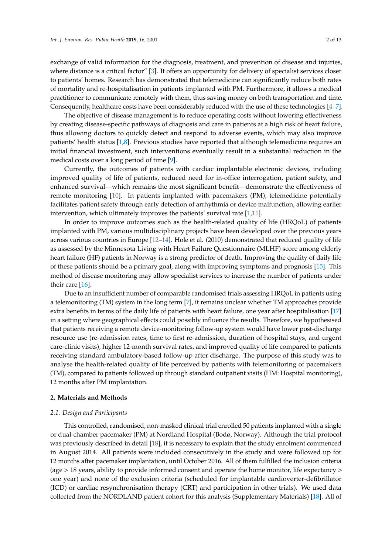exchange of valid information for the diagnosis, treatment, and prevention of disease and injuries, where distance is a critical factor" [\[3\]](#page-10-2). It offers an opportunity for delivery of specialist services closer to patients' homes. Research has demonstrated that telemedicine can significantly reduce both rates of mortality and re-hospitalisation in patients implanted with PM. Furthermore, it allows a medical practitioner to communicate remotely with them, thus saving money on both transportation and time. Consequently, healthcare costs have been considerably reduced with the use of these technologies [\[4–](#page-10-3)[7\]](#page-11-0).

The objective of disease management is to reduce operating costs without lowering effectiveness by creating disease-specific pathways of diagnosis and care in patients at a high risk of heart failure, thus allowing doctors to quickly detect and respond to adverse events, which may also improve patients' health status [\[1,](#page-10-0)[8\]](#page-11-1). Previous studies have reported that although telemedicine requires an initial financial investment, such interventions eventually result in a substantial reduction in the medical costs over a long period of time [\[9\]](#page-11-2).

Currently, the outcomes of patients with cardiac implantable electronic devices, including improved quality of life of patients, reduced need for in-office interrogation, patient safety, and enhanced survival—which remains the most significant benefit—demonstrate the effectiveness of remote monitoring [\[10\]](#page-11-3). In patients implanted with pacemakers (PM), telemedicine potentially facilitates patient safety through early detection of arrhythmia or device malfunction, allowing earlier intervention, which ultimately improves the patients' survival rate [\[1](#page-10-0)[,11\]](#page-11-4).

In order to improve outcomes such as the health-related quality of life (HRQoL) of patients implanted with PM, various multidisciplinary projects have been developed over the previous years across various countries in Europe [\[12](#page-11-5)[–14\]](#page-11-6). Hole et al. (2010) demonstrated that reduced quality of life as assessed by the Minnesota Living with Heart Failure Questionnaire (MLHF) score among elderly heart failure (HF) patients in Norway is a strong predictor of death. Improving the quality of daily life of these patients should be a primary goal, along with improving symptoms and prognosis [\[15\]](#page-11-7). This method of disease monitoring may allow specialist services to increase the number of patients under their care [\[16\]](#page-11-8).

Due to an insufficient number of comparable randomised trials assessing HRQoL in patients using a telemonitoring (TM) system in the long term [\[7\]](#page-11-0), it remains unclear whether TM approaches provide extra benefits in terms of the daily life of patients with heart failure, one year after hospitalisation [\[17\]](#page-11-9) in a setting where geographical effects could possibly influence the results. Therefore, we hypothesised that patients receiving a remote device-monitoring follow-up system would have lower post-discharge resource use (re-admission rates, time to first re-admission, duration of hospital stays, and urgent care-clinic visits), higher 12-month survival rates, and improved quality of life compared to patients receiving standard ambulatory-based follow-up after discharge. The purpose of this study was to analyse the health-related quality of life perceived by patients with telemonitoring of pacemakers (TM), compared to patients followed up through standard outpatient visits (HM: Hospital monitoring), 12 months after PM implantation.

## **2. Materials and Methods**

## *2.1. Design and Participants*

This controlled, randomised, non-masked clinical trial enrolled 50 patients implanted with a single or dual-chamber pacemaker (PM) at Nordland Hospital (Bodø, Norway). Although the trial protocol was previously described in detail [\[18\]](#page-11-10), it is necessary to explain that the study enrolment commenced in August 2014. All patients were included consecutively in the study and were followed up for 12 months after pacemaker implantation, until October 2016. All of them fulfilled the inclusion criteria (age > 18 years, ability to provide informed consent and operate the home monitor, life expectancy > one year) and none of the exclusion criteria (scheduled for implantable cardioverter-defibrillator (ICD) or cardiac resynchronisation therapy (CRT) and participation in other trials). We used data collected from the NORDLAND patient cohort for this analysis (Supplementary Materials) [\[18\]](#page-11-10). All of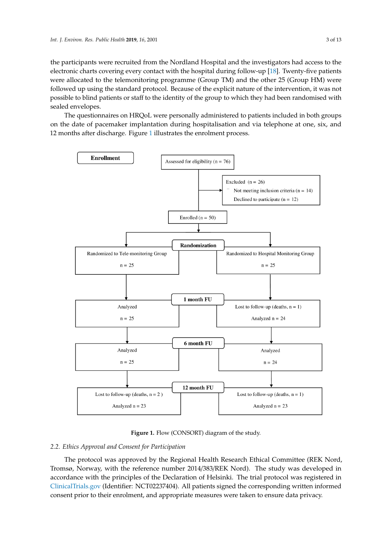the participants were recruited from the Nordland Hospital and the investigators had access to the electronic charts covering every contact with the hospital during follow-up [\[18\]](#page-11-10). Twenty-five patients were allocated to the telemonitoring programme (Group TM) and the other 25 (Group HM) were followed up using the standard protocol. Because of the explicit nature of the intervention, it was not possible to blind patients or staff to the identity of the group to which they had been randomised with sealed envelopes.

The questionnaires on HRQoL were personally administered to patients included in both groups on the date of pacemaker implantation during hospitalisation and via telephone at one, six, and 12 months after discharge. Figure [1](#page-2-0) illustrates the enrolment process.

<span id="page-2-0"></span>



# *2.2. Ethics Approval and Consent for Participation*

The protocol was approved by the Regional Health Research Ethical Committee (REK Nord, Tromsø, Norway, with the reference number 2014/383/REK Nord). The study was developed in accordance with the principles of the Declaration of Helsinki. The trial protocol was registered in <ClinicalTrials.gov> (Identifier: NCT02237404). All patients signed the corresponding written informed consent prior to their enrolment, and appropriate measures were taken to ensure data privacy.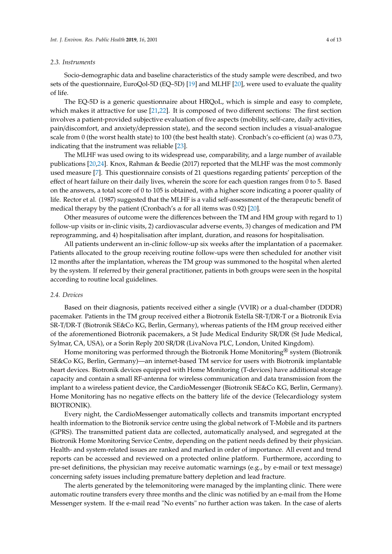#### *2.3. Instruments*

Socio-demographic data and baseline characteristics of the study sample were described, and two sets of the questionnaire, EuroQol-5D (EQ–5D) [\[19\]](#page-11-11) and MLHF [\[20\]](#page-11-12), were used to evaluate the quality of life.

The EQ-5D is a generic questionnaire about HRQoL, which is simple and easy to complete, which makes it attractive for use [\[21](#page-11-13)[,22\]](#page-11-14). It is composed of two different sections: The first section involves a patient-provided subjective evaluation of five aspects (mobility, self-care, daily activities, pain/discomfort, and anxiety/depression state), and the second section includes a visual-analogue scale from 0 (the worst health state) to 100 (the best health state). Cronbach's co-efficient  $(\alpha)$  was 0.73, indicating that the instrument was reliable [\[23\]](#page-11-15).

The MLHF was used owing to its widespread use, comparability, and a large number of available publications [\[20,](#page-11-12)[24\]](#page-11-16). Knox, Rahman & Beedie (2017) reported that the MLHF was the most commonly used measure [\[7\]](#page-11-0). This questionnaire consists of 21 questions regarding patients' perception of the effect of heart failure on their daily lives, wherein the score for each question ranges from 0 to 5. Based on the answers, a total score of 0 to 105 is obtained, with a higher score indicating a poorer quality of life. Rector et al. (1987) suggested that the MLHF is a valid self-assessment of the therapeutic benefit of medical therapy by the patient (Cronbach's  $\alpha$  for all items was 0.92) [\[20\]](#page-11-12).

Other measures of outcome were the differences between the TM and HM group with regard to 1) follow-up visits or in-clinic visits, 2) cardiovascular adverse events, 3) changes of medication and PM reprogramming, and 4) hospitalisation after implant, duration, and reasons for hospitalisation.

All patients underwent an in-clinic follow-up six weeks after the implantation of a pacemaker. Patients allocated to the group receiving routine follow-ups were then scheduled for another visit 12 months after the implantation, whereas the TM group was summoned to the hospital when alerted by the system. If referred by their general practitioner, patients in both groups were seen in the hospital according to routine local guidelines.

#### *2.4. Devices*

Based on their diagnosis, patients received either a single (VVIR) or a dual-chamber (DDDR) pacemaker. Patients in the TM group received either a Biotronik Estella SR-T/DR-T or a Biotronik Evia SR-T/DR-T (Biotronik SE&Co KG, Berlin, Germany), whereas patients of the HM group received either of the aforementioned Biotronik pacemakers, a St Jude Medical Endurity SR/DR (St Jude Medical, Sylmar, CA, USA), or a Sorin Reply 200 SR/DR (LivaNova PLC, London, United Kingdom).

Home monitoring was performed through the Biotronik Home Monitoring<sup>®</sup> system (Biotronik SE&Co KG, Berlin, Germany)—an internet-based TM service for users with Biotronik implantable heart devices. Biotronik devices equipped with Home Monitoring (T-devices) have additional storage capacity and contain a small RF-antenna for wireless communication and data transmission from the implant to a wireless patient device, the CardioMessenger (Biotronik SE&Co KG, Berlin, Germany). Home Monitoring has no negative effects on the battery life of the device (Telecardiology system BIOTRONIK).

Every night, the CardioMessenger automatically collects and transmits important encrypted health information to the Biotronik service centre using the global network of T-Mobile and its partners (GPRS). The transmitted patient data are collected, automatically analysed, and segregated at the Biotronik Home Monitoring Service Centre, depending on the patient needs defined by their physician. Health- and system-related issues are ranked and marked in order of importance. All event and trend reports can be accessed and reviewed on a protected online platform. Furthermore, according to pre-set definitions, the physician may receive automatic warnings (e.g., by e-mail or text message) concerning safety issues including premature battery depletion and lead fracture.

The alerts generated by the telemonitoring were managed by the implanting clinic. There were automatic routine transfers every three months and the clinic was notified by an e-mail from the Home Messenger system. If the e-mail read "No events" no further action was taken. In the case of alerts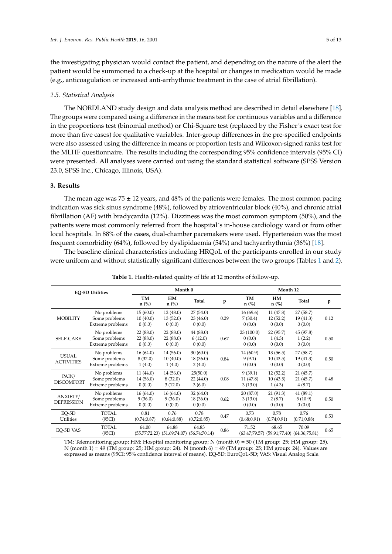the investigating physician would contact the patient, and depending on the nature of the alert the patient would be summoned to a check-up at the hospital or changes in medication would be made (e.g., anticoagulation or increased anti-arrhythmic treatment in the case of atrial fibrillation).

#### *2.5. Statistical Analysis*

The NORDLAND study design and data analysis method are described in detail elsewhere [\[18\]](#page-11-10). The groups were compared using a difference in the means test for continuous variables and a difference in the proportions test (binomial method) or Chi-Square test (replaced by the Fisher´s exact test for more than five cases) for qualitative variables. Inter-group differences in the pre-specified endpoints were also assessed using the difference in means or proportion tests and Wilcoxon-signed ranks test for the MLHF questionnaire. The results including the corresponding 95% confidence intervals (95% CI) were presented. All analyses were carried out using the standard statistical software (SPSS Version 23.0, SPSS Inc., Chicago, Illinois, USA).

# **3. Results**

The mean age was  $75 \pm 12$  years, and 48% of the patients were females. The most common pacing indication was sick sinus syndrome (48%), followed by atrioventricular block (40%), and chronic atrial fibrillation (AF) with bradycardia (12%). Dizziness was the most common symptom (50%), and the patients were most commonly referred from the hospital´s in-house cardiology ward or from other local hospitals. In 88% of the cases, dual-chamber pacemakers were used. Hypertension was the most frequent comorbidity (64%), followed by dyslipidaemia (54%) and tachyarrhythmia (36%) [\[18\]](#page-11-10).

The baseline clinical characteristics including HRQoL of the participants enrolled in our study were uniform and without statistically significant differences between the two groups (Tables [1](#page-4-0) and [2\)](#page-5-0).

<span id="page-4-0"></span>

| <b>EO-5D Utilities</b>               |                                                  |                                | Month 0                        |                                |      | Month 12                       |                                |                                |      |
|--------------------------------------|--------------------------------------------------|--------------------------------|--------------------------------|--------------------------------|------|--------------------------------|--------------------------------|--------------------------------|------|
|                                      |                                                  | TM<br>$n$ (%)                  | HM<br>$n$ (%)                  | Total                          | p    | TM<br>$n$ (%)                  | HM<br>$n$ (%)                  | Total                          | p    |
| <b>MOBILITY</b>                      | No problems<br>Some problems<br>Extreme problems | 15(60.0)<br>10(40.0)<br>0(0.0) | 12(48.0)<br>13(52.0)<br>0(0.0) | 27(54.0)<br>23(46.0)<br>0(0.0) | 0.29 | 16(69.6)<br>7(30.4)<br>0(0.0)  | 11(47.8)<br>12(52.2)<br>0(0.0) | 27(58.7)<br>19(41.3)<br>0(0.0) | 0.12 |
| <b>SELF-CARE</b>                     | No problems<br>Some problems<br>Extreme problems | 22(88.0)<br>22(88.0)<br>0(0.0) | 22(88.0)<br>22(88.0)<br>0(0.0) | 44 (88.0)<br>6(12.0)<br>0(0.0) | 0.67 | 23(100.0)<br>0(0.0)<br>0(0.0)  | 22(95.7)<br>1(4.3)<br>0(0.0)   | 45 (97.8)<br>1(2.2)<br>0(0.0)  | 0.50 |
| <b>USUAL</b><br><b>ACTIVITIES</b>    | No problems<br>Some problems<br>Extreme problems | 16(64.0)<br>8(32.0)<br>1(4.0)  | 14(56.0)<br>10(40.0)<br>1(4.0) | 30(60.0)<br>18(36.0)<br>2(4.0) | 0.84 | 14 (60.9)<br>9(9.1)<br>0(0.0)  | 13(56.5)<br>10(43.5)<br>0(0.0) | 27(58.7)<br>19(41.3)<br>0(0.0) | 0.50 |
| PAIN/<br><b>DISCOMFORT</b>           | No problems<br>Some problems<br>Extreme problems | 11(44.0)<br>14(56.0)<br>0(0.0) | 14(56.0)<br>8(32.0)<br>3(12.0) | 25(50.0)<br>22(44.0)<br>3(6.0) | 0.08 | 9(39.1)<br>11(47.8)<br>3(13.0) | 12(52.2)<br>10(43.5)<br>1(4.3) | 21(45.7)<br>21(45.7)<br>4(8.7) | 0.48 |
| <b>ANXIETY/</b><br><b>DEPRESSION</b> | No problems<br>Some problems<br>Extreme problems | 16(64.0)<br>9(36.0)<br>0(0.0)  | 16(64.0)<br>9(36.0)<br>0(0.0)  | 32(64.0)<br>18(36.0)<br>0(0.0) | 0.62 | 20(87.0)<br>3(13.0)<br>0(0.0)  | 21(91.3)<br>2(8.7)<br>0(0.0)   | 41 (89.1)<br>5(10.9)<br>0(0.0) | 0.50 |
| $EQ-5D$<br>Utilities                 | <b>TOTAL</b><br>(95CI)                           | 0.81<br>(0.74; 0.87)           | 0.76<br>(0.64; 0.88)           | 0.78<br>(0.72; 0.85)           | 0.47 | 0.73<br>(0.68; 0.91)           | 0.78<br>(0.74; 0.91)           | 0.76<br>(0.71; 0.88)           | 0.53 |
| EQ-5D VAS                            | <b>TOTAL</b><br>(95CI)                           | 64.00<br>(55.77;72.23)         | 64.88<br>(51.69;74.07)         | 64.83<br>(56.74;70.14)         | 0.86 | 71.52<br>(63.47;79.57)         | 68.65<br>(59.91;77.40)         | 70.09<br>(64.36;75.81)         | 0.65 |

**Table 1.** Health-related quality of life at 12 months of follow-up.

TM: Telemonitoring group; HM: Hospital monitoring group; N (month 0) = 50 (TM group: 25; HM group: 25). N (month 1) = 49 (TM group: 25; HM group: 24). N (month 6) = 49 (TM group: 25; HM group: 24). Values are expressed as means (95CI: 95% confidence interval of means). EQ-5D: EuroQoL-5D; VAS: Visual Analog Scale.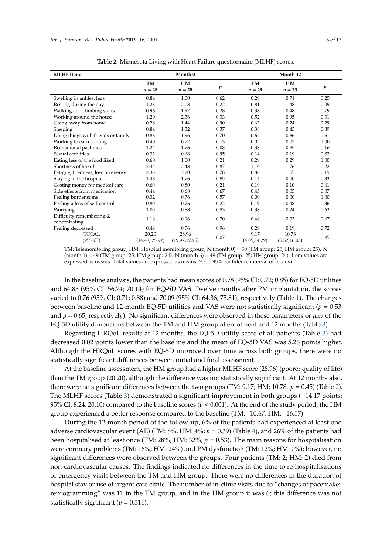<span id="page-5-0"></span>

| <b>MLHF</b> Items                         |                         | Month 0                 |                  | Month 12              |                       |      |  |
|-------------------------------------------|-------------------------|-------------------------|------------------|-----------------------|-----------------------|------|--|
|                                           | <b>TM</b><br>$n = 25$   | HM<br>$n = 25$          | $\boldsymbol{p}$ | <b>TM</b><br>$n = 23$ | HM<br>$n = 23$        | p    |  |
| Swelling in ankles, legs                  | 0.84                    | 1.00                    | 0.62             | 0.29                  | 0.71                  | 0.25 |  |
| Resting during the day                    | 1.28                    | 2.08                    | 0.22             | 0.81                  | 1.48                  | 0.09 |  |
| Walking and climbing stairs               | 0.96                    | 1.92                    | 0.28             | 0.38                  | 0.48                  | 0.79 |  |
| Working around the house                  | 1.20                    | 2.36                    | 0.33             | 0.52                  | 0.95                  | 0.31 |  |
| Going away from home                      | 0.28                    | 1.44                    | 0.90             | 0.62                  | 0.24                  | 0.29 |  |
| Sleeping                                  | 0.84                    | 1.32                    | 0.37             | 0.38                  | 0.43                  | 0.89 |  |
| Doing things with friends or family       | 0.88                    | 1.96                    | 0.70             | 0.62                  | 0.86                  | 0.61 |  |
| Working to earn a living                  | 0.40                    | 0.72                    | 0.73             | 0.05                  | 0.05                  | 1.00 |  |
| Recreational pastimes                     | 1.24                    | 1.76                    | 0.08             | 0.38                  | 0.95                  | 0.16 |  |
| Sexual activities                         | 0.32                    | 0.68                    | 0.95             | 0.14                  | 0.19                  | 0.83 |  |
| Eating less of the food liked             | 0.60                    | 1.00                    | 0.21             | 0.29                  | 0.29                  | 1.00 |  |
| Shortness of breath                       | 2.44                    | 2.48                    | 0.87             | 1.10                  | 1.76                  | 0.22 |  |
| Fatigue, tiredness, low on energy         | 2.36                    | 3.20                    | 0.78             | 0.86                  | 1.57                  | 0.19 |  |
| Staying in the hospital                   | 1.48                    | 1.76                    | 0.95             | 0.14                  | 0.00                  | 0.33 |  |
| Costing money for medical care            | 0.60                    | 0.80                    | 0.21             | 0.19                  | 0.10                  | 0.61 |  |
| Side effects from medication              | 0.44                    | 0.68                    | 0.67             | 0.43                  | 0.05                  | 0.07 |  |
| Feeling burdensome                        | 0.32                    | 0.76                    | 0.57             | 0.00                  | 0.00                  | 1.00 |  |
| Feeling a loss of self-control            | 0.80                    | 0.76                    | 0.22             | 0.19                  | 0.48                  | 0.36 |  |
| Worrying                                  | 1.00                    | 0.88                    | 0.83             | 0.38                  | 0.24                  | 0.63 |  |
| Difficulty remembering &<br>concentrating | 1.16                    | 0.96                    | 0.70             | 0.48                  | 0.33                  | 0.67 |  |
| Feeling depressed                         | 0.44                    | 0.76                    | 0.96             | 0.29                  | 0.19                  | 0.72 |  |
| TOTAL<br>$(95\%CI)$                       | 20.20<br>(14.48; 25.92) | 28.96<br>(19.97; 37.95) | 0.07             | 9.17<br>(4.05; 14.29) | 10.78<br>(5.52;16.05) | 0.45 |  |

**Table 2.** Minnesota Living with Heart Failure questionnaire (MLHF) scores.

TM: Telemonitoring group; HM: Hospital monitoring group; N (month 0) = 50 (TM group: 25; HM group: 25). N  $($ month 1 $)$  = 49 (TM group: 25; HM group: 24). N  $($ month 6 $)$  = 49 (TM group: 25; HM group: 24). Item values are expressed as means. Total values are expressed as means (95CI: 95% confidence interval of means).

In the baseline analysis, the patients had mean scores of 0.78 (95% CI: 0.72; 0.85) for EQ-5D utilities and 64.83 (95% CI: 56.74; 70.14) for EQ-5D VAS. Twelve months after PM implantation, the scores varied to 0.76 (95% CI: 0.71; 0.88) and 70.09 (95% CI: 64.36; 75.81), respectively (Table [1\)](#page-4-0). The changes between baseline and 12-month EQ-5D utilities and VAS were not statistically significant (*p* = 0.53 and  $p = 0.65$ , respectively). No significant differences were observed in these parameters or any of the EQ-5D utility dimensions between the TM and HM group at enrolment and 12 months (Table [3\)](#page-6-0).

Regarding HRQoL results at 12 months, the EQ-5D utility score of all patients (Table [3\)](#page-6-0) had decreased 0.02 points lower than the baseline and the mean of EQ-5D VAS was 5.26 points higher. Although the HRQoL scores with EQ-5D improved over time across both groups, there were no statistically significant differences between initial and final assessment.

At the baseline assessment, the HM group had a higher MLHF score (28.96) (poorer quality of life) than the TM group (20.20), although the difference was not statistically significant. At 12 months also, there were no significant differences between the two groups (TM: 9.17; HM: 10.78.  $p = 0.45$ ) (Table [2\)](#page-5-0). The MLHF scores (Table [3\)](#page-6-0) demonstrated a significant improvement in both groups (−14.17 points; 95% CI: 8.24; 20.10) compared to the baseline scores (*p* < 0.001). At the end of the study period, the HM group experienced a better response compared to the baseline (TM: –10.67; HM: –16.57).

During the 12-month period of the follow-up, 6% of the patients had experienced at least one adverse cardiovascular event (AE) (TM: 8%, HM: 4%; *p* = 0.39) (Table [4\)](#page-7-0), and 26% of the patients had been hospitalised at least once (TM: 28%, HM: 32%; *p* = 0.53). The main reasons for hospitalisation were coronary problems (TM: 16%; HM: 24%) and PM dysfunction (TM: 12%; HM: 0%); however, no significant differences were observed between the groups. Four patients (TM: 2; HM: 2) died from non-cardiovascular causes. The findings indicated no differences in the time to re-hospitalisations or emergency visits between the TM and HM group. There were no differences in the duration of hospital stay or use of urgent care clinic. The number of in-clinic visits due to "changes of pacemaker reprogramming" was 11 in the TM group, and in the HM group it was 6; this difference was not statistically significant  $(p = 0.311)$ .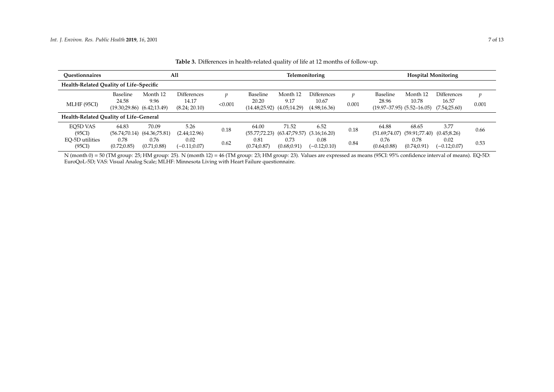| <b>Ouestionnaires</b>                   |                                                                         | All                                   |                             |                                                     | Telemonitoring                                             |                                             |                        |                        |                                                     | <b>Hospital Monitoring</b>                  |                        |
|-----------------------------------------|-------------------------------------------------------------------------|---------------------------------------|-----------------------------|-----------------------------------------------------|------------------------------------------------------------|---------------------------------------------|------------------------|------------------------|-----------------------------------------------------|---------------------------------------------|------------------------|
| Health-Related Quality of Life-Specific |                                                                         |                                       |                             |                                                     |                                                            |                                             |                        |                        |                                                     |                                             |                        |
| MLHF (95CI)                             | Baseline<br>Month 12<br>9.96<br>24.58<br>$(19.30;29.86)$ $(6.42;13.49)$ | Differences<br>14.17<br>(8.24; 20.10) | $\boldsymbol{v}$<br>< 0.001 | Baseline<br>20.20<br>$(14.48;25.92)$ $(4.05;14.29)$ | Month 12<br>9.17                                           | <b>Differences</b><br>10.67<br>(4.98;16.36) | $\mathcal{D}$<br>0.001 | Baseline<br>28.96      | Month 12<br>10.78<br>$(19.97-37.95)$ $(5.52-16.05)$ | <b>Differences</b><br>16.57<br>(7.54;25.60) | $\mathcal{D}$<br>0.001 |
| Health-Related Quality of Life-General  |                                                                         |                                       |                             |                                                     |                                                            |                                             |                        |                        |                                                     |                                             |                        |
| EO5D VAS<br>(95CI)                      | 64.83<br>70.09<br>(56.74;70.14)<br>(64.36;75.81)                        | 5.26<br>(2.44;12.96)                  | 0.18                        | 64.00                                               | 71.52<br>$(55.77; 72.23)$ $(63.47; 79.57)$ $(3.16; 16.20)$ | 6.52                                        | 0.18                   | 64.88<br>(51.69;74.07) | 68.65<br>(59.91;77.40)                              | 3.77<br>(0.45; 8.26)                        | 0.66                   |
| EO-5D utilities<br>(95CI)               | 0.76<br>0.78<br>(0.72; 0.85)<br>(0.71; 0.88)                            | 0.02<br>$(-0.11; 0.07)$               | 0.62                        | 0.81<br>(0.74; 0.87)                                | 0.73<br>(0.68; 0.91)                                       | 0.08<br>$(-0.12; 0.10)$                     | 0.84                   | 0.76<br>(0.64; 0.88)   | 0.78<br>(0.74; 0.91)                                | 0.02<br>$(-0.12;0.07)$                      | 0.53                   |

| Table 3. Differences in health-related quality of life at 12 months of follow-up. |  |
|-----------------------------------------------------------------------------------|--|
|-----------------------------------------------------------------------------------|--|

<span id="page-6-0"></span>N (month 0) = 50 (TM group: 25; HM group: 25). N (month 12) = 46 (TM group: 23; HM group: 23). Values are expressed as means (95CI: 95% confidence interval of means). EQ-5D: EuroQoL-5D; VAS: Visual Analog Scale; MLHF: Minnesota Living with Heart Failure questionnaire.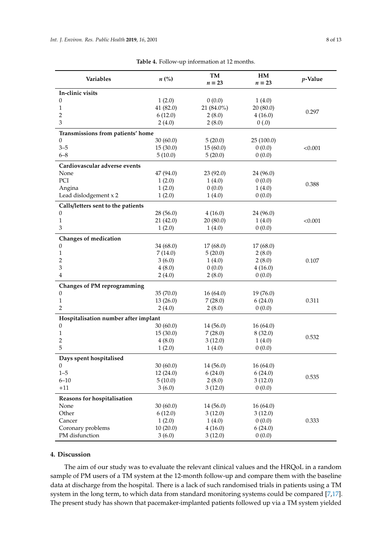<span id="page-7-0"></span>

| <b>Variables</b>                     | $n\ (\%)$ | TM<br>$n=23$ | HM<br>$n=23$ | p-Value |
|--------------------------------------|-----------|--------------|--------------|---------|
| In-clinic visits                     |           |              |              |         |
| $\boldsymbol{0}$                     | 1(2.0)    | 0(0.0)       | 1(4.0)       |         |
| 1                                    | 41(82.0)  | 21 (84.0%)   | 20(80.0)     | 0.297   |
| $\overline{2}$                       | 6(12.0)   | 2(8.0)       | 4(16.0)      |         |
| 3                                    | 2(4.0)    | 2(8.0)       | 0(0.0)       |         |
| Transmissions from patients' home    |           |              |              |         |
| $\boldsymbol{0}$                     | 30(60.0)  | 5(20.0)      | 25(100.0)    |         |
| $3 - 5$                              | 15(30.0)  | 15(60.0)     | 0(0.0)       | < 0.001 |
| $6 - 8$                              | 5(10.0)   | 5(20.0)      | 0(0.0)       |         |
| Cardiovascular adverse events        |           |              |              |         |
| None                                 | 47 (94.0) | 23 (92.0)    | 24 (96.0)    |         |
| PCI                                  | 1(2.0)    | 1(4.0)       | 0(0.0)       |         |
| Angina                               | 1(2.0)    | 0(0.0)       | 1(4.0)       | 0.388   |
| Lead dislodgement x 2                | 1(2.0)    | 1(4.0)       | 0(0.0)       |         |
| Calls/letters sent to the patients   |           |              |              |         |
| 0                                    | 28(56.0)  | 4(16.0)      | 24 (96.0)    |         |
| $\mathbf{1}$                         | 21(42.0)  | 20(80.0)     | 1(4.0)       | < 0.001 |
| 3                                    | 1(2.0)    | 1(4.0)       | 0(0.0)       |         |
| Changes of medication                |           |              |              |         |
| 0                                    | 34(68.0)  | 17(68.0)     | 17(68.0)     |         |
| 1                                    | 7(14.0)   | 5(20.0)      | 2(8.0)       |         |
| $\overline{2}$                       | 3(6.0)    | 1(4.0)       | 2(8.0)       | 0.107   |
| $\ensuremath{\mathfrak{Z}}$          | 4(8.0)    | 0(0.0)       | 4(16.0)      |         |
| 4                                    | 2(4.0)    | 2(8.0)       | 0(0.0)       |         |
| <b>Changes of PM reprogramming</b>   |           |              |              |         |
| 0                                    | 35(70.0)  | 16(64.0)     | 19(76.0)     |         |
| 1                                    | 13(26.0)  | 7(28.0)      | 6(24.0)      | 0.311   |
| $\overline{2}$                       | 2(4.0)    | 2(8.0)       | 0(0.0)       |         |
| Hospitalisation number after implant |           |              |              |         |
| $\boldsymbol{0}$                     | 30(60.0)  | 14 (56.0)    | 16(64.0)     |         |
| 1                                    | 15(30.0)  | 7(28.0)      | 8(32.0)      | 0.532   |
| $\overline{c}$                       | 4(8.0)    | 3(12.0)      | 1(4.0)       |         |
| 5                                    | 1(2.0)    | 1(4.0)       | 0(0.0)       |         |
| Days spent hospitalised              |           |              |              |         |
| $\boldsymbol{0}$                     | 30(60.0)  | 14 (56.0)    | 16(64.0)     |         |
| $1 - 5$                              | 12(24.0)  | 6(24.0)      | 6(24.0)      | 0.535   |
| $6 - 10$                             | 5(10.0)   | 2(8.0)       | 3(12.0)      |         |
| $+11$                                | 3(6.0)    | 3(12.0)      | 0(0.0)       |         |
| Reasons for hospitalisation          |           |              |              |         |
| None                                 | 30(60.0)  | 14 (56.0)    | 16(64.0)     |         |
| Other                                | 6(12.0)   | 3(12.0)      | 3(12.0)      |         |
| Cancer                               | 1(2.0)    | 1(4.0)       | 0(0.0)       | 0.333   |
| Coronary problems                    | 10(20.0)  | 4(16.0)      | 6(24.0)      |         |
| PM disfunction                       | 3(6.0)    | 3(12.0)      | 0(0.0)       |         |

**Table 4.** Follow-up information at 12 months.

### **4. Discussion**

The aim of our study was to evaluate the relevant clinical values and the HRQoL in a random sample of PM users of a TM system at the 12-month follow-up and compare them with the baseline data at discharge from the hospital. There is a lack of such randomised trials in patients using a TM system in the long term, to which data from standard monitoring systems could be compared [\[7,](#page-11-0)[17\]](#page-11-9). The present study has shown that pacemaker-implanted patients followed up via a TM system yielded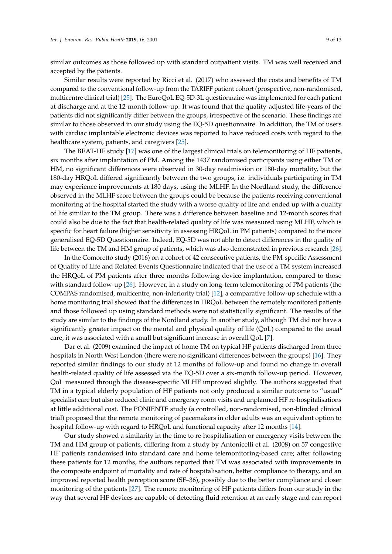similar outcomes as those followed up with standard outpatient visits. TM was well received and accepted by the patients.

Similar results were reported by Ricci et al. (2017) who assessed the costs and benefits of TM compared to the conventional follow-up from the TARIFF patient cohort (prospective, non-randomised, multicentre clinical trial) [\[25\]](#page-12-0). The EuroQoL EQ-5D-3L questionnaire was implemented for each patient at discharge and at the 12-month follow-up. It was found that the quality-adjusted life-years of the patients did not significantly differ between the groups, irrespective of the scenario. These findings are similar to those observed in our study using the EQ-5D questionnaire. In addition, the TM of users with cardiac implantable electronic devices was reported to have reduced costs with regard to the healthcare system, patients, and caregivers [\[25\]](#page-12-0).

The BEAT-HF study [\[17\]](#page-11-9) was one of the largest clinical trials on telemonitoring of HF patients, six months after implantation of PM. Among the 1437 randomised participants using either TM or HM, no significant differences were observed in 30-day readmission or 180-day mortality, but the 180-day HRQoL differed significantly between the two groups, i.e. individuals participating in TM may experience improvements at 180 days, using the MLHF. In the Nordland study, the difference observed in the MLHF score between the groups could be because the patients receiving conventional monitoring at the hospital started the study with a worse quality of life and ended up with a quality of life similar to the TM group. There was a difference between baseline and 12-month scores that could also be due to the fact that health-related quality of life was measured using MLHF, which is specific for heart failure (higher sensitivity in assessing HRQoL in PM patients) compared to the more generalised EQ-5D Questionnaire. Indeed, EQ-5D was not able to detect differences in the quality of life between the TM and HM group of patients, which was also demonstrated in previous research [\[26\]](#page-12-1).

In the Comoretto study (2016) on a cohort of 42 consecutive patients, the PM-specific Assessment of Quality of Life and Related Events Questionnaire indicated that the use of a TM system increased the HRQoL of PM patients after three months following device implantation, compared to those with standard follow-up [\[26\]](#page-12-1). However, in a study on long-term telemonitoring of PM patients (the COMPAS randomised, multicentre, non-inferiority trial) [\[12\]](#page-11-5), a comparative follow-up schedule with a home monitoring trial showed that the differences in HRQoL between the remotely monitored patients and those followed up using standard methods were not statistically significant. The results of the study are similar to the findings of the Nordland study. In another study, although TM did not have a significantly greater impact on the mental and physical quality of life (QoL) compared to the usual care, it was associated with a small but significant increase in overall QoL [\[7\]](#page-11-0).

Dar et al. (2009) examined the impact of home TM on typical HF patients discharged from three hospitals in North West London (there were no significant differences between the groups) [\[16\]](#page-11-8). They reported similar findings to our study at 12 months of follow-up and found no change in overall health-related quality of life assessed via the EQ-5D over a six-month follow-up period. However, QoL measured through the disease-specific MLHF improved slightly. The authors suggested that TM in a typical elderly population of HF patients not only produced a similar outcome to "usual" specialist care but also reduced clinic and emergency room visits and unplanned HF re-hospitalisations at little additional cost. The PONIENTE study (a controlled, non-randomised, non-blinded clinical trial) proposed that the remote monitoring of pacemakers in older adults was an equivalent option to hospital follow-up with regard to HRQoL and functional capacity after 12 months [\[14\]](#page-11-6).

Our study showed a similarity in the time to re-hospitalisation or emergency visits between the TM and HM group of patients, differing from a study by Antonicelli et al. (2008) on 57 congestive HF patients randomised into standard care and home telemonitoring-based care; after following these patients for 12 months, the authors reported that TM was associated with improvements in the composite endpoint of mortality and rate of hospitalisation, better compliance to therapy, and an improved reported health perception score (SF–36), possibly due to the better compliance and closer monitoring of the patients [\[27\]](#page-12-2). The remote monitoring of HF patients differs from our study in the way that several HF devices are capable of detecting fluid retention at an early stage and can report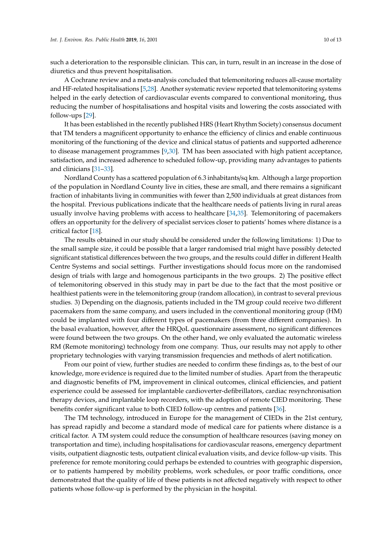such a deterioration to the responsible clinician. This can, in turn, result in an increase in the dose of diuretics and thus prevent hospitalisation.

A Cochrane review and a meta-analysis concluded that telemonitoring reduces all-cause mortality and HF-related hospitalisations [\[5,](#page-10-4)[28\]](#page-12-3). Another systematic review reported that telemonitoring systems helped in the early detection of cardiovascular events compared to conventional monitoring, thus reducing the number of hospitalisations and hospital visits and lowering the costs associated with follow-ups [\[29\]](#page-12-4).

It has been established in the recently published HRS (Heart Rhythm Society) consensus document that TM tenders a magnificent opportunity to enhance the efficiency of clinics and enable continuous monitoring of the functioning of the device and clinical status of patients and supported adherence to disease management programmes [\[9,](#page-11-2)[30\]](#page-12-5). TM has been associated with high patient acceptance, satisfaction, and increased adherence to scheduled follow-up, providing many advantages to patients and clinicians [\[31–](#page-12-6)[33\]](#page-12-7).

Nordland County has a scattered population of 6.3 inhabitants/sq km. Although a large proportion of the population in Nordland County live in cities, these are small, and there remains a significant fraction of inhabitants living in communities with fewer than 2,500 individuals at great distances from the hospital. Previous publications indicate that the healthcare needs of patients living in rural areas usually involve having problems with access to healthcare  $[34,35]$  $[34,35]$ . Telemonitoring of pacemakers offers an opportunity for the delivery of specialist services closer to patients' homes where distance is a critical factor [\[18\]](#page-11-10).

The results obtained in our study should be considered under the following limitations: 1) Due to the small sample size, it could be possible that a larger randomised trial might have possibly detected significant statistical differences between the two groups, and the results could differ in different Health Centre Systems and social settings. Further investigations should focus more on the randomised design of trials with large and homogenous participants in the two groups. 2) The positive effect of telemonitoring observed in this study may in part be due to the fact that the most positive or healthiest patients were in the telemonitoring group (random allocation), in contrast to several previous studies. 3) Depending on the diagnosis, patients included in the TM group could receive two different pacemakers from the same company, and users included in the conventional monitoring group (HM) could be implanted with four different types of pacemakers (from three different companies). In the basal evaluation, however, after the HRQoL questionnaire assessment, no significant differences were found between the two groups. On the other hand, we only evaluated the automatic wireless RM (Remote monitoring) technology from one company. Thus, our results may not apply to other proprietary technologies with varying transmission frequencies and methods of alert notification.

From our point of view, further studies are needed to confirm these findings as, to the best of our knowledge, more evidence is required due to the limited number of studies. Apart from the therapeutic and diagnostic benefits of PM, improvement in clinical outcomes, clinical efficiencies, and patient experience could be assessed for implantable cardioverter-defibrillators, cardiac resynchronisation therapy devices, and implantable loop recorders, with the adoption of remote CIED monitoring. These benefits confer significant value to both CIED follow-up centres and patients [\[36\]](#page-12-10).

The TM technology, introduced in Europe for the management of CIEDs in the 21st century, has spread rapidly and become a standard mode of medical care for patients where distance is a critical factor. A TM system could reduce the consumption of healthcare resources (saving money on transportation and time), including hospitalisations for cardiovascular reasons, emergency department visits, outpatient diagnostic tests, outpatient clinical evaluation visits, and device follow-up visits. This preference for remote monitoring could perhaps be extended to countries with geographic dispersion, or to patients hampered by mobility problems, work schedules, or poor traffic conditions, once demonstrated that the quality of life of these patients is not affected negatively with respect to other patients whose follow-up is performed by the physician in the hospital.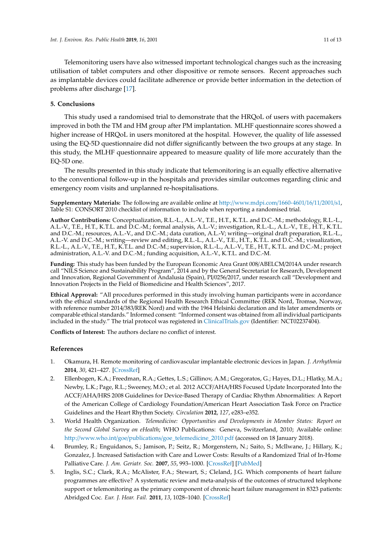Telemonitoring users have also witnessed important technological changes such as the increasing utilisation of tablet computers and other dispositive or remote sensors. Recent approaches such as implantable devices could facilitate adherence or provide better information in the detection of problems after discharge [\[17\]](#page-11-9).

# **5. Conclusions**

This study used a randomised trial to demonstrate that the HRQoL of users with pacemakers improved in both the TM and HM group after PM implantation. MLHF questionnaire scores showed a higher increase of HRQoL in users monitored at the hospital. However, the quality of life assessed using the EQ-5D questionnaire did not differ significantly between the two groups at any stage. In this study, the MLHF questionnaire appeared to measure quality of life more accurately than the EQ-5D one.

The results presented in this study indicate that telemonitoring is an equally effective alternative to the conventional follow-up in the hospitals and provides similar outcomes regarding clinic and emergency room visits and unplanned re-hospitalisations.

**Supplementary Materials:** The following are available online at http://[www.mdpi.com](http://www.mdpi.com/1660-4601/16/11/2001/s1)/1660-4601/16/11/2001/s1, Table S1: CONSORT 2010 checklist of information to include when reporting a randomised trial.

**Author Contributions:** Conceptualization, R.L.-L., A.L.-V., T.E., H.T., K.T.L. and D.C.-M.; methodology, R.L.-L., A.L.-V., T.E., H.T., K.T.L. and D.C.-M.; formal analysis, A.L.-V.; investigation, R.L.-L., A.L.-V., T.E., H.T., K.T.L. and D.C.-M.; resources, A.L.-V., and D.C.-M.; data curation, A.L.-V; writing—original draft preparation, R.L.-L., A.L.-V. and D.C.-M.; writing—review and editing, R.L.-L., A.L.-V., T.E., H.T., K.T.L. and D.C.-M.; visualization, R.L.-L., A.L.-V., T.E., H.T., K.T.L. and D.C.-M.; supervision, R.L.-L., A.L.-V., T.E., H.T., K.T.L. and D.C.-M.; project administration, A.L.-V. and D.C.-M.; funding acquisition, A.L.-V., K.T.L. and D.C.-M.

**Funding:** This study has been funded by the European Economic Area Grant 008/ABELCM/2014A under research call "NILS Science and Sustainability Program", 2014 and by the General Secretariat for Research, Development and Innovation, Regional Government of Andalusia (Spain), PI/0256/2017, under research call "Development and Innovation Projects in the Field of Biomedicine and Health Sciences", 2017.

**Ethical Approval:** "All procedures performed in this study involving human participants were in accordance with the ethical standards of the Regional Health Research Ethical Committee (REK Nord, Tromsø, Norway, with reference number 2014/383/REK Nord) and with the 1964 Helsinki declaration and its later amendments or comparable ethical standards." Informed consent: "Informed consent was obtained from all individual participants included in the study." The trial protocol was registered in <ClinicalTrials.gov> (Identifier: NCT02237404).

**Conflicts of Interest:** The authors declare no conflict of interest.

## **References**

- <span id="page-10-0"></span>1. Okamura, H. Remote monitoring of cardiovascular implantable electronic devices in Japan. *J. Arrhythmia* **2014**, *30*, 421–427. [\[CrossRef\]](http://dx.doi.org/10.1016/j.joa.2014.04.012)
- <span id="page-10-1"></span>2. Ellenbogen, K.A.; Freedman, R.A.; Gettes, L.S.; Gillinov, A.M.; Gregoratos, G.; Hayes, D.L.; Hlatky, M.A.; Newby, L.K.; Page, R.L.; Sweeney, M.O.; et al. 2012 ACCF/AHA/HRS Focused Update Incorporated Into the ACCF/AHA/HRS 2008 Guidelines for Device-Based Therapy of Cardiac Rhythm Abnormalities: A Report of the American College of Cardiology Foundation/American Heart Association Task Force on Practice Guidelines and the Heart Rhythm Society. *Circulation* **2012**, *127*, e283–e352.
- <span id="page-10-2"></span>3. World Health Organization. *Telemedicine: Opportunities and Developments in Member States: Report on the Second Global Survey on eHealth*; WHO Publications: Geneva, Switzerland, 2010; Available online: http://www.who.int/goe/publications/[goe\\_telemedicine\\_2010.pdf](http://www.who.int/goe/publications/goe_telemedicine_2010.pdf) (accessed on 18 January 2018).
- <span id="page-10-3"></span>4. Brumley, R.; Enguidanos, S.; Jamison, P.; Seitz, R.; Morgenstern, N.; Saito, S.; McIlwane, J.; Hillary, K.; Gonzalez, J. Increased Satisfaction with Care and Lower Costs: Results of a Randomized Trial of In-Home Palliative Care. *J. Am. Geriatr. Soc.* **2007**, *55*, 993–1000. [\[CrossRef\]](http://dx.doi.org/10.1111/j.1532-5415.2007.01234.x) [\[PubMed\]](http://www.ncbi.nlm.nih.gov/pubmed/17608870)
- <span id="page-10-4"></span>5. Inglis, S.C.; Clark, R.A.; McAlister, F.A.; Stewart, S.; Cleland, J.G. Which components of heart failure programmes are effective? A systematic review and meta-analysis of the outcomes of structured telephone support or telemonitoring as the primary component of chronic heart failure management in 8323 patients: Abridged Coc. *Eur. J. Hear. Fail.* **2011**, *13*, 1028–1040. [\[CrossRef\]](http://dx.doi.org/10.1093/eurjhf/hfr039)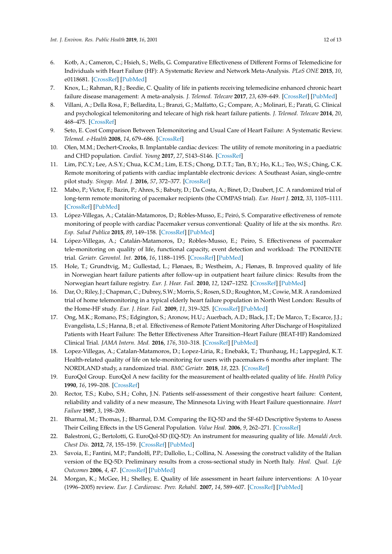- 6. Kotb, A.; Cameron, C.; Hsieh, S.; Wells, G. Comparative Effectiveness of Different Forms of Telemedicine for Individuals with Heart Failure (HF): A Systematic Review and Network Meta-Analysis. *PLoS ONE* **2015**, *10*, e0118681. [\[CrossRef\]](http://dx.doi.org/10.1371/journal.pone.0118681) [\[PubMed\]](http://www.ncbi.nlm.nih.gov/pubmed/25714962)
- <span id="page-11-0"></span>7. Knox, L.; Rahman, R.J.; Beedie, C. Quality of life in patients receiving telemedicine enhanced chronic heart failure disease management: A meta-analysis. *J. Telemed. Telecare* **2017**, *23*, 639–649. [\[CrossRef\]](http://dx.doi.org/10.1177/1357633X16660418) [\[PubMed\]](http://www.ncbi.nlm.nih.gov/pubmed/27450573)
- <span id="page-11-1"></span>8. Villani, A.; Della Rosa, F.; Bellardita, L.; Branzi, G.; Malfatto, G.; Compare, A.; Molinari, E.; Parati, G. Clinical and psychological telemonitoring and telecare of high risk heart failure patients. *J. Telemed. Telecare* **2014**, *20*, 468–475. [\[CrossRef\]](http://dx.doi.org/10.1177/1357633X14555644)
- <span id="page-11-2"></span>9. Seto, E. Cost Comparison Between Telemonitoring and Usual Care of Heart Failure: A Systematic Review. *Telemed. e-Health* **2008**, *14*, 679–686. [\[CrossRef\]](http://dx.doi.org/10.1089/tmj.2007.0114)
- <span id="page-11-3"></span>10. Olen, M.M.; Dechert-Crooks, B. Implantable cardiac devices: The utility of remote monitoring in a paediatric and CHD population. *Cardiol. Young* **2017**, *27*, S143–S146. [\[CrossRef\]](http://dx.doi.org/10.1017/S1047951116002390)
- <span id="page-11-4"></span>11. Lim, P.C.Y.; Lee, A.S.Y.; Chua, K.C.M.; Lim, E.T.S.; Chong, D.T.T.; Tan, B.Y.; Ho, K.L.; Teo, W.S.; Ching, C.K. Remote monitoring of patients with cardiac implantable electronic devices: A Southeast Asian, single-centre pilot study. *Singap. Med. J.* **2016**, *57*, 372–377. [\[CrossRef\]](http://dx.doi.org/10.11622/smedj.2016120)
- <span id="page-11-5"></span>12. Mabo, P.; Victor, F.; Bazin, P.; Ahres, S.; Babuty, D.; Da Costa, A.; Binet, D.; Daubert, J.C. A randomized trial of long-term remote monitoring of pacemaker recipients (the COMPAS trial). *Eur. Heart J.* **2012**, *33*, 1105–1111. [\[CrossRef\]](http://dx.doi.org/10.1093/eurheartj/ehr419) [\[PubMed\]](http://www.ncbi.nlm.nih.gov/pubmed/22127418)
- 13. López-Villegas, A.; Catalán-Matamoros, D.; Robles-Musso, E.; Peiró, S. Comparative effectiveness of remote monitoring of people with cardiac Pacemaker versus conventional: Quality of life at the six months. *Rev. Esp. Salud Publica* **2015**, *89*, 149–158. [\[CrossRef\]](http://dx.doi.org/10.4321/S1135-57272015000200004) [\[PubMed\]](http://www.ncbi.nlm.nih.gov/pubmed/26121625)
- <span id="page-11-6"></span>14. López-Villegas, A.; Catalán-Matamoros, D.; Robles-Musso, E.; Peiro, S. Effectiveness of pacemaker tele-monitoring on quality of life, functional capacity, event detection and workload: The PONIENTE trial. *Geriatr. Gerontol. Int.* **2016**, *16*, 1188–1195. [\[CrossRef\]](http://dx.doi.org/10.1111/ggi.12612) [\[PubMed\]](http://www.ncbi.nlm.nih.gov/pubmed/26635263)
- <span id="page-11-7"></span>15. Hole, T.; Grundtvig, M.; Gullestad, L.; Flønaes, B.; Westheim, A.; Flønæs, B. Improved quality of life in Norwegian heart failure patients after follow-up in outpatient heart failure clinics: Results from the Norwegian heart failure registry. *Eur. J. Hear. Fail.* **2010**, *12*, 1247–1252. [\[CrossRef\]](http://dx.doi.org/10.1093/eurjhf/hfq156) [\[PubMed\]](http://www.ncbi.nlm.nih.gov/pubmed/20847014)
- <span id="page-11-8"></span>16. Dar, O.; Riley, J.; Chapman, C.; Dubrey, S.W.; Morris, S.; Rosen, S.D.; Roughton, M.; Cowie, M.R. A randomized trial of home telemonitoring in a typical elderly heart failure population in North West London: Results of the Home-HF study. *Eur. J. Hear. Fail.* **2009**, *11*, 319–325. [\[CrossRef\]](http://dx.doi.org/10.1093/eurjhf/hfn050) [\[PubMed\]](http://www.ncbi.nlm.nih.gov/pubmed/19174529)
- <span id="page-11-9"></span>17. Ong, M.K.; Romano, P.S.; Edgington, S.; Aronow, H.U.; Auerbach, A.D.; Black, J.T.; De Marco, T.; Escarce, J.J.; Evangelista, L.S.; Hanna, B.; et al. Effectiveness of Remote Patient Monitoring After Discharge of Hospitalized Patients with Heart Failure: The Better Effectiveness After Transition–Heart Failure (BEAT-HF) Randomized Clinical Trial. *JAMA Intern. Med.* **2016**, *176*, 310–318. [\[CrossRef\]](http://dx.doi.org/10.1001/jamainternmed.2015.7712) [\[PubMed\]](http://www.ncbi.nlm.nih.gov/pubmed/26857383)
- <span id="page-11-10"></span>18. Lopez-Villegas, A.; Catalan-Matamoros, D.; Lopez-Liria, R.; Enebakk, T.; Thunhaug, H.; Lappegård, K.T. Health-related quality of life on tele-monitoring for users with pacemakers 6 months after implant: The NORDLAND study, a randomized trial. *BMC Geriatr.* **2018**, *18*, 223. [\[CrossRef\]](http://dx.doi.org/10.1186/s12877-018-0911-3)
- <span id="page-11-11"></span>19. EuroQol Group. EuroQol A new facility for the measurement of health-related quality of life. *Health Policy* **1990**, *16*, 199–208. [\[CrossRef\]](http://dx.doi.org/10.1016/0168-8510(90)90421-9)
- <span id="page-11-12"></span>20. Rector, T.S.; Kubo, S.H.; Cohn, J.N. Patients self-assessment of their congestive heart failure: Content, reliability and validity of a new measure, The Minnesota Living with Heart Failure questionnaire. *Heart Failure* **1987**, *3*, 198–209.
- <span id="page-11-13"></span>21. Bharmal, M.; Thomas, J.; Bharmal, D.M. Comparing the EQ-5D and the SF-6D Descriptive Systems to Assess Their Ceiling Effects in the US General Population. *Value Heal.* **2006**, *9*, 262–271. [\[CrossRef\]](http://dx.doi.org/10.1111/j.1524-4733.2006.00108.x)
- <span id="page-11-14"></span>22. Balestroni, G.; Bertolotti, G. EuroQol-5D (EQ-5D): An instrument for measuring quality of life. *Monaldi Arch. Chest Dis.* **2012**, *78*, 155–159. [\[CrossRef\]](http://dx.doi.org/10.4081/monaldi.2012.121) [\[PubMed\]](http://www.ncbi.nlm.nih.gov/pubmed/23614330)
- <span id="page-11-15"></span>23. Savoia, E.; Fantini, M.P.; Pandolfi, P.P.; Dallolio, L.; Collina, N. Assessing the construct validity of the Italian version of the EQ-5D: Preliminary results from a cross-sectional study in North Italy. *Heal. Qual. Life Outcomes* **2006**, *4*, 47. [\[CrossRef\]](http://dx.doi.org/10.1186/1477-7525-4-47) [\[PubMed\]](http://www.ncbi.nlm.nih.gov/pubmed/16901340)
- <span id="page-11-16"></span>24. Morgan, K.; McGee, H.; Shelley, E. Quality of life assessment in heart failure interventions: A 10-year (1996–2005) review. *Eur. J. Cardiovasc. Prev. Rehabil.* **2007**, *14*, 589–607. [\[CrossRef\]](http://dx.doi.org/10.1097/HJR.0b013e32828622c3) [\[PubMed\]](http://www.ncbi.nlm.nih.gov/pubmed/17925617)